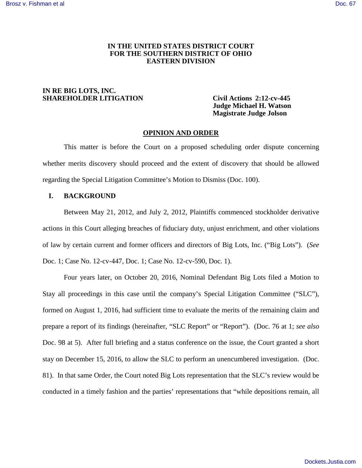### **IN THE UNITED STATES DISTRICT COURT FOR THE SOUTHERN DISTRICT OF OHIO EASTERN DIVISION**

### **IN RE BIG LOTS, INC. SHAREHOLDER LITIGATION Civil Actions 2:12-cv-445**

 **Judge Michael H. Watson Magistrate Judge Jolson** 

#### **OPINION AND ORDER**

This matter is before the Court on a proposed scheduling order dispute concerning whether merits discovery should proceed and the extent of discovery that should be allowed regarding the Special Litigation Committee's Motion to Dismiss (Doc. 100).

## **I. BACKGROUND**

Between May 21, 2012, and July 2, 2012, Plaintiffs commenced stockholder derivative actions in this Court alleging breaches of fiduciary duty, unjust enrichment, and other violations of law by certain current and former officers and directors of Big Lots, Inc. ("Big Lots"). (*See* Doc. 1; Case No. 12-cv-447, Doc. 1; Case No. 12-cv-590, Doc. 1).

Four years later, on October 20, 2016, Nominal Defendant Big Lots filed a Motion to Stay all proceedings in this case until the company's Special Litigation Committee ("SLC"), formed on August 1, 2016, had sufficient time to evaluate the merits of the remaining claim and prepare a report of its findings (hereinafter, "SLC Report" or "Report"). (Doc. 76 at 1; *see also* Doc. 98 at 5). After full briefing and a status conference on the issue, the Court granted a short stay on December 15, 2016, to allow the SLC to perform an unencumbered investigation. (Doc. 81). In that same Order, the Court noted Big Lots representation that the SLC's review would be conducted in a timely fashion and the parties' representations that "while depositions remain, all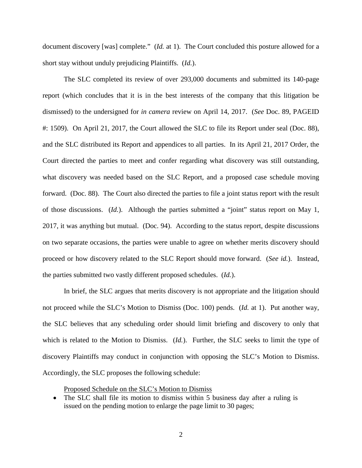document discovery [was] complete." (*Id.* at 1). The Court concluded this posture allowed for a short stay without unduly prejudicing Plaintiffs. (*Id.*).

The SLC completed its review of over 293,000 documents and submitted its 140-page report (which concludes that it is in the best interests of the company that this litigation be dismissed) to the undersigned for *in camera* review on April 14, 2017. (*See* Doc. 89, PAGEID #: 1509). On April 21, 2017, the Court allowed the SLC to file its Report under seal (Doc. 88), and the SLC distributed its Report and appendices to all parties. In its April 21, 2017 Order, the Court directed the parties to meet and confer regarding what discovery was still outstanding, what discovery was needed based on the SLC Report, and a proposed case schedule moving forward. (Doc. 88). The Court also directed the parties to file a joint status report with the result of those discussions. (*Id.*). Although the parties submitted a "joint" status report on May 1, 2017, it was anything but mutual. (Doc. 94). According to the status report, despite discussions on two separate occasions, the parties were unable to agree on whether merits discovery should proceed or how discovery related to the SLC Report should move forward. (*See id.*). Instead, the parties submitted two vastly different proposed schedules. (*Id.*).

In brief, the SLC argues that merits discovery is not appropriate and the litigation should not proceed while the SLC's Motion to Dismiss (Doc. 100) pends. (*Id.* at 1). Put another way, the SLC believes that any scheduling order should limit briefing and discovery to only that which is related to the Motion to Dismiss. (*Id.*). Further, the SLC seeks to limit the type of discovery Plaintiffs may conduct in conjunction with opposing the SLC's Motion to Dismiss. Accordingly, the SLC proposes the following schedule:

Proposed Schedule on the SLC's Motion to Dismiss

<sup>•</sup> The SLC shall file its motion to dismiss within 5 business day after a ruling is issued on the pending motion to enlarge the page limit to 30 pages;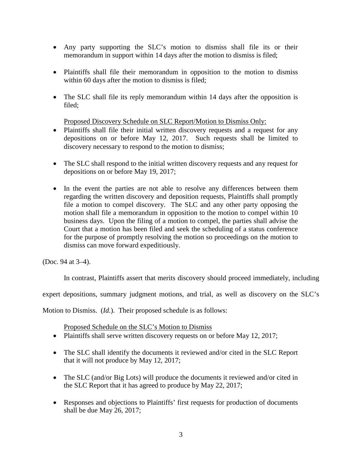- Any party supporting the SLC's motion to dismiss shall file its or their memorandum in support within 14 days after the motion to dismiss is filed;
- Plaintiffs shall file their memorandum in opposition to the motion to dismiss within 60 days after the motion to dismiss is filed;
- The SLC shall file its reply memorandum within 14 days after the opposition is filed;

Proposed Discovery Schedule on SLC Report/Motion to Dismiss Only:

- Plaintiffs shall file their initial written discovery requests and a request for any depositions on or before May 12, 2017. Such requests shall be limited to discovery necessary to respond to the motion to dismiss;
- The SLC shall respond to the initial written discovery requests and any request for depositions on or before May 19, 2017;
- In the event the parties are not able to resolve any differences between them regarding the written discovery and deposition requests, Plaintiffs shall promptly file a motion to compel discovery. The SLC and any other party opposing the motion shall file a memorandum in opposition to the motion to compel within 10 business days. Upon the filing of a motion to compel, the parties shall advise the Court that a motion has been filed and seek the scheduling of a status conference for the purpose of promptly resolving the motion so proceedings on the motion to dismiss can move forward expeditiously.

(Doc. 94 at 3–4).

In contrast, Plaintiffs assert that merits discovery should proceed immediately, including

expert depositions, summary judgment motions, and trial, as well as discovery on the SLC's

Motion to Dismiss. (*Id.*). Their proposed schedule is as follows:

Proposed Schedule on the SLC's Motion to Dismiss

- Plaintiffs shall serve written discovery requests on or before May 12, 2017;
- The SLC shall identify the documents it reviewed and/or cited in the SLC Report that it will not produce by May 12, 2017;
- The SLC (and/or Big Lots) will produce the documents it reviewed and/or cited in the SLC Report that it has agreed to produce by May 22, 2017;
- Responses and objections to Plaintiffs' first requests for production of documents shall be due May 26, 2017;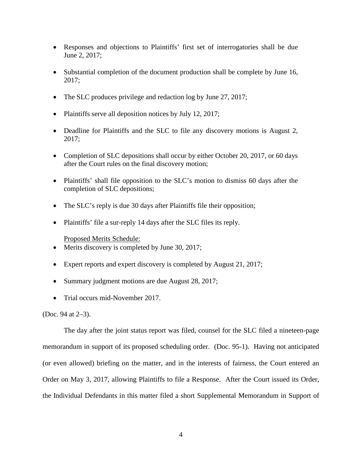- Responses and objections to Plaintiffs' first set of interrogatories shall be due June 2, 2017;
- Substantial completion of the document production shall be complete by June 16, 2017;
- The SLC produces privilege and redaction log by June 27, 2017;
- Plaintiffs serve all deposition notices by July 12, 2017;
- Deadline for Plaintiffs and the SLC to file any discovery motions is August 2, 2017;
- Completion of SLC depositions shall occur by either October 20, 2017, or 60 days after the Court rules on the final discovery motion;
- Plaintiffs' shall file opposition to the SLC's motion to dismiss 60 days after the completion of SLC depositions;
- The SLC's reply is due 30 days after Plaintiffs file their opposition;
- Plaintiffs' file a sur-reply 14 days after the SLC files its reply.

Proposed Merits Schedule:

- Merits discovery is completed by June 30, 2017;
- Expert reports and expert discovery is completed by August 21, 2017;
- Summary judgment motions are due August 28, 2017;
- Trial occurs mid-November 2017.

(Doc. 94 at 2–3).

The day after the joint status report was filed, counsel for the SLC filed a nineteen-page memorandum in support of its proposed scheduling order. (Doc. 95-1). Having not anticipated (or even allowed) briefing on the matter, and in the interests of fairness, the Court entered an Order on May 3, 2017, allowing Plaintiffs to file a Response. After the Court issued its Order, the Individual Defendants in this matter filed a short Supplemental Memorandum in Support of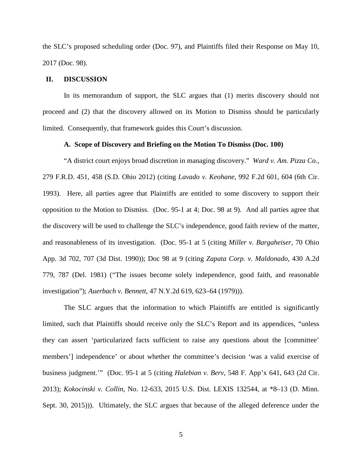the SLC's proposed scheduling order (Doc. 97), and Plaintiffs filed their Response on May 10, 2017 (Doc. 98).

#### **II. DISCUSSION**

In its memorandum of support, the SLC argues that (1) merits discovery should not proceed and (2) that the discovery allowed on its Motion to Dismiss should be particularly limited. Consequently, that framework guides this Court's discussion.

#### **A. Scope of Discovery and Briefing on the Motion To Dismiss (Doc. 100)**

"A district court enjoys broad discretion in managing discovery." *Ward v. Am. Pizza Co.*, 279 F.R.D. 451, 458 (S.D. Ohio 2012) (citing *Lavado v. Keohane*, 992 F.2d 601, 604 (6th Cir. 1993). Here, all parties agree that Plaintiffs are entitled to some discovery to support their opposition to the Motion to Dismiss. (Doc. 95-1 at 4; Doc. 98 at 9). And all parties agree that the discovery will be used to challenge the SLC's independence, good faith review of the matter, and reasonableness of its investigation. (Doc. 95-1 at 5 (citing *Miller v. Bargaheiser*, 70 Ohio App. 3d 702, 707 (3d Dist. 1990)); Doc 98 at 9 (citing *Zapata Corp. v. Maldonado*, 430 A.2d 779, 787 (Del. 1981) ("The issues become solely independence, good faith, and reasonable investigation"); *Auerbach v. Bennett*, 47 N.Y.2d 619, 623–64 (1979))).

The SLC argues that the information to which Plaintiffs are entitled is significantly limited, such that Plaintiffs should receive only the SLC's Report and its appendices, "unless they can assert 'particularized facts sufficient to raise any questions about the [committee' members'] independence' or about whether the committee's decision 'was a valid exercise of business judgment.'" (Doc. 95-1 at 5 (citing *Halebian v. Berv*, 548 F. App'x 641, 643 (2d Cir. 2013); *Kokocinski v. Collin*, No. 12-633, 2015 U.S. Dist. LEXIS 132544, at \*8–13 (D. Minn. Sept. 30, 2015))). Ultimately, the SLC argues that because of the alleged deference under the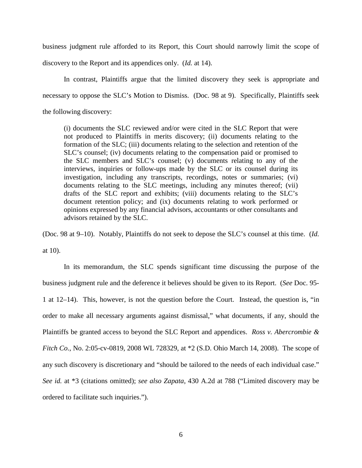business judgment rule afforded to its Report, this Court should narrowly limit the scope of discovery to the Report and its appendices only. (*Id.* at 14).

In contrast, Plaintiffs argue that the limited discovery they seek is appropriate and necessary to oppose the SLC's Motion to Dismiss. (Doc. 98 at 9). Specifically, Plaintiffs seek the following discovery:

(i) documents the SLC reviewed and/or were cited in the SLC Report that were not produced to Plaintiffs in merits discovery; (ii) documents relating to the formation of the SLC; (iii) documents relating to the selection and retention of the SLC's counsel; (iv) documents relating to the compensation paid or promised to the SLC members and SLC's counsel; (v) documents relating to any of the interviews, inquiries or follow-ups made by the SLC or its counsel during its investigation, including any transcripts, recordings, notes or summaries; (vi) documents relating to the SLC meetings, including any minutes thereof; (vii) drafts of the SLC report and exhibits; (viii) documents relating to the SLC's document retention policy; and (ix) documents relating to work performed or opinions expressed by any financial advisors, accountants or other consultants and advisors retained by the SLC.

(Doc. 98 at 9–10). Notably, Plaintiffs do not seek to depose the SLC's counsel at this time. (*Id.* at 10).

In its memorandum, the SLC spends significant time discussing the purpose of the business judgment rule and the deference it believes should be given to its Report. (*See* Doc. 95- 1 at 12–14). This, however, is not the question before the Court. Instead, the question is, "in order to make all necessary arguments against dismissal," what documents, if any, should the Plaintiffs be granted access to beyond the SLC Report and appendices. *Ross v. Abercrombie & Fitch Co.*, No. 2:05-cv-0819, 2008 WL 728329, at \*2 (S.D. Ohio March 14, 2008). The scope of any such discovery is discretionary and "should be tailored to the needs of each individual case." *See id.* at \*3 (citations omitted); *see also Zapata*, 430 A.2d at 788 ("Limited discovery may be ordered to facilitate such inquiries.").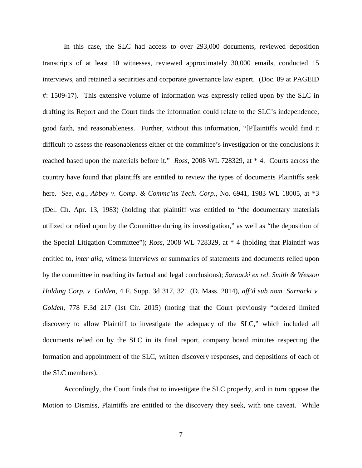In this case, the SLC had access to over 293,000 documents, reviewed deposition transcripts of at least 10 witnesses, reviewed approximately 30,000 emails, conducted 15 interviews, and retained a securities and corporate governance law expert. (Doc. 89 at PAGEID #: 1509-17). This extensive volume of information was expressly relied upon by the SLC in drafting its Report and the Court finds the information could relate to the SLC's independence, good faith, and reasonableness. Further, without this information, "[P]laintiffs would find it difficult to assess the reasonableness either of the committee's investigation or the conclusions it reached based upon the materials before it." *Ross*, 2008 WL 728329, at \* 4. Courts across the country have found that plaintiffs are entitled to review the types of documents Plaintiffs seek here. *See, e.g.*, *Abbey v. Comp. & Commc'ns Tech. Corp.*, No. 6941, 1983 WL 18005, at \*3 (Del. Ch. Apr. 13, 1983) (holding that plaintiff was entitled to "the documentary materials utilized or relied upon by the Committee during its investigation," as well as "the deposition of the Special Litigation Committee"); *Ross*, 2008 WL 728329, at \* 4 (holding that Plaintiff was entitled to, *inter alia*, witness interviews or summaries of statements and documents relied upon by the committee in reaching its factual and legal conclusions); *Sarnacki ex rel. Smith & Wesson Holding Corp. v. Golden*, 4 F. Supp. 3d 317, 321 (D. Mass. 2014), *aff'd sub nom. Sarnacki v. Golden*, 778 F.3d 217 (1st Cir. 2015) (noting that the Court previously "ordered limited discovery to allow Plaintiff to investigate the adequacy of the SLC," which included all documents relied on by the SLC in its final report, company board minutes respecting the formation and appointment of the SLC, written discovery responses, and depositions of each of the SLC members).

Accordingly, the Court finds that to investigate the SLC properly, and in turn oppose the Motion to Dismiss, Plaintiffs are entitled to the discovery they seek, with one caveat. While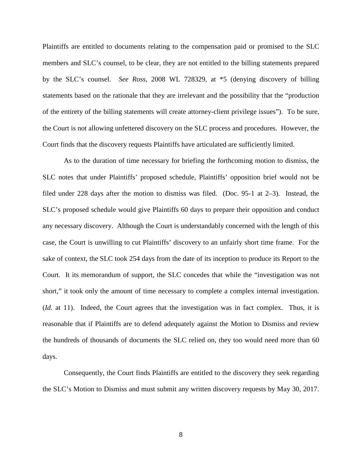Plaintiffs are entitled to documents relating to the compensation paid or promised to the SLC members and SLC's counsel, to be clear, they are not entitled to the billing statements prepared by the SLC's counsel. *See Ross*, 2008 WL 728329, at \*5 (denying discovery of billing statements based on the rationale that they are irrelevant and the possibility that the "production of the entirety of the billing statements will create attorney-client privilege issues"). To be sure, the Court is not allowing unfettered discovery on the SLC process and procedures. However, the Court finds that the discovery requests Plaintiffs have articulated are sufficiently limited.

As to the duration of time necessary for briefing the forthcoming motion to dismiss, the SLC notes that under Plaintiffs' proposed schedule, Plaintiffs' opposition brief would not be filed under 228 days after the motion to dismiss was filed. (Doc. 95-1 at 2–3). Instead, the SLC's proposed schedule would give Plaintiffs 60 days to prepare their opposition and conduct any necessary discovery. Although the Court is understandably concerned with the length of this case, the Court is unwilling to cut Plaintiffs' discovery to an unfairly short time frame. For the sake of context, the SLC took 254 days from the date of its inception to produce its Report to the Court. It its memorandum of support, the SLC concedes that while the "investigation was not short," it took only the amount of time necessary to complete a complex internal investigation. (*Id.* at 11). Indeed, the Court agrees that the investigation was in fact complex. Thus, it is reasonable that if Plaintiffs are to defend adequately against the Motion to Dismiss and review the hundreds of thousands of documents the SLC relied on, they too would need more than 60 days.

Consequently, the Court finds Plaintiffs are entitled to the discovery they seek regarding the SLC's Motion to Dismiss and must submit any written discovery requests by May 30, 2017.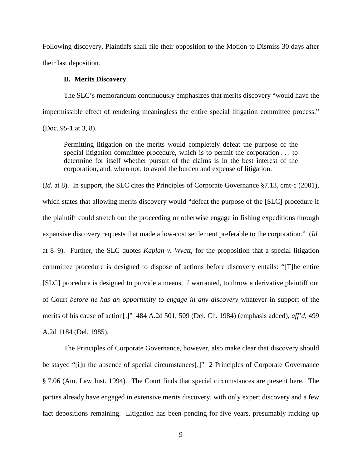Following discovery, Plaintiffs shall file their opposition to the Motion to Dismiss 30 days after their last deposition.

### **B. Merits Discovery**

The SLC's memorandum continuously emphasizes that merits discovery "would have the impermissible effect of rendering meaningless the entire special litigation committee process." (Doc. 95-1 at 3, 8).

Permitting litigation on the merits would completely defeat the purpose of the special litigation committee procedure, which is to permit the corporation . . . to determine for itself whether pursuit of the claims is in the best interest of the corporation, and, when not, to avoid the burden and expense of litigation.

(*Id.* at 8). In support, the SLC cites the Principles of Corporate Governance §7.13, cmt-c (2001), which states that allowing merits discovery would "defeat the purpose of the [SLC] procedure if the plaintiff could stretch out the proceeding or otherwise engage in fishing expeditions through expansive discovery requests that made a low-cost settlement preferable to the corporation." (*Id.*  at 8–9). Further, the SLC quotes *Kaplan v. Wyatt*, for the proposition that a special litigation committee procedure is designed to dispose of actions before discovery entails: "[T]he entire [SLC] procedure is designed to provide a means, if warranted, to throw a derivative plaintiff out of Court *before he has an opportunity to engage in any discovery* whatever in support of the merits of his cause of action[.]" 484 A.2d 501, 509 (Del. Ch. 1984) (emphasis added), *aff'd*, 499 A.2d 1184 (Del. 1985).

The Principles of Corporate Governance, however, also make clear that discovery should be stayed "[i]n the absence of special circumstances[.]" 2 Principles of Corporate Governance § 7.06 (Am. Law Inst. 1994). The Court finds that special circumstances are present here. The parties already have engaged in extensive merits discovery, with only expert discovery and a few fact depositions remaining. Litigation has been pending for five years, presumably racking up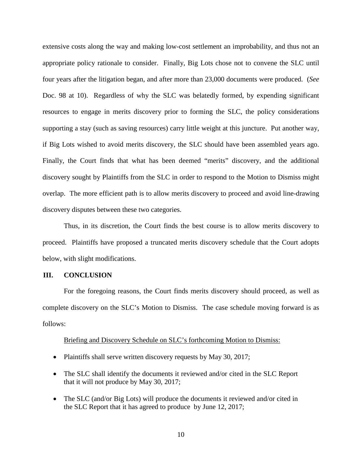extensive costs along the way and making low-cost settlement an improbability, and thus not an appropriate policy rationale to consider. Finally, Big Lots chose not to convene the SLC until four years after the litigation began, and after more than 23,000 documents were produced. (*See*  Doc. 98 at 10). Regardless of why the SLC was belatedly formed, by expending significant resources to engage in merits discovery prior to forming the SLC, the policy considerations supporting a stay (such as saving resources) carry little weight at this juncture. Put another way, if Big Lots wished to avoid merits discovery, the SLC should have been assembled years ago. Finally, the Court finds that what has been deemed "merits" discovery, and the additional discovery sought by Plaintiffs from the SLC in order to respond to the Motion to Dismiss might overlap. The more efficient path is to allow merits discovery to proceed and avoid line-drawing discovery disputes between these two categories.

Thus, in its discretion, the Court finds the best course is to allow merits discovery to proceed. Plaintiffs have proposed a truncated merits discovery schedule that the Court adopts below, with slight modifications.

#### **III. CONCLUSION**

For the foregoing reasons, the Court finds merits discovery should proceed, as well as complete discovery on the SLC's Motion to Dismiss. The case schedule moving forward is as follows:

#### Briefing and Discovery Schedule on SLC's forthcoming Motion to Dismiss:

- Plaintiffs shall serve written discovery requests by May 30, 2017;
- The SLC shall identify the documents it reviewed and/or cited in the SLC Report that it will not produce by May 30, 2017;
- The SLC (and/or Big Lots) will produce the documents it reviewed and/or cited in the SLC Report that it has agreed to produce by June 12, 2017;